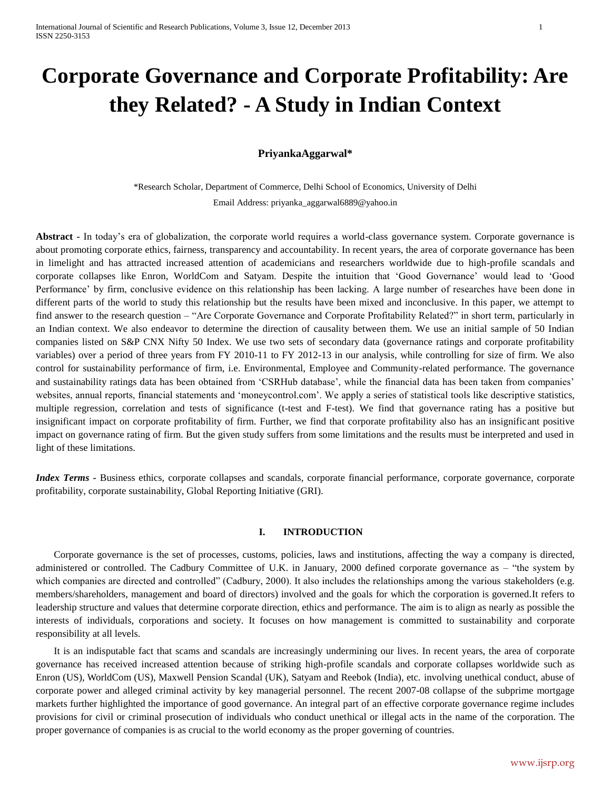# **Corporate Governance and Corporate Profitability: Are they Related? - A Study in Indian Context**

# **PriyankaAggarwal\***

\*Research Scholar, Department of Commerce, Delhi School of Economics, University of Delhi Email Address: priyanka\_aggarwal6889@yahoo.in

**Abstract -** In today's era of globalization, the corporate world requires a world-class governance system. Corporate governance is about promoting corporate ethics, fairness, transparency and accountability. In recent years, the area of corporate governance has been in limelight and has attracted increased attention of academicians and researchers worldwide due to high-profile scandals and corporate collapses like Enron, WorldCom and Satyam. Despite the intuition that 'Good Governance' would lead to 'Good Performance' by firm, conclusive evidence on this relationship has been lacking. A large number of researches have been done in different parts of the world to study this relationship but the results have been mixed and inconclusive. In this paper, we attempt to find answer to the research question – "Are Corporate Governance and Corporate Profitability Related?" in short term, particularly in an Indian context. We also endeavor to determine the direction of causality between them. We use an initial sample of 50 Indian companies listed on S&P CNX Nifty 50 Index. We use two sets of secondary data (governance ratings and corporate profitability variables) over a period of three years from FY 2010-11 to FY 2012-13 in our analysis, while controlling for size of firm. We also control for sustainability performance of firm, i.e. Environmental, Employee and Community-related performance. The governance and sustainability ratings data has been obtained from 'CSRHub database', while the financial data has been taken from companies' websites, annual reports, financial statements and 'moneycontrol.com'. We apply a series of statistical tools like descriptive statistics, multiple regression, correlation and tests of significance (t-test and F-test). We find that governance rating has a positive but insignificant impact on corporate profitability of firm. Further, we find that corporate profitability also has an insignificant positive impact on governance rating of firm. But the given study suffers from some limitations and the results must be interpreted and used in light of these limitations.

*Index Terms -* Business ethics, corporate collapses and scandals, corporate financial performance, corporate governance, corporate profitability, corporate sustainability, Global Reporting Initiative (GRI).

## **I. INTRODUCTION**

Corporate governance is the set of [processes,](http://en.wikipedia.org/wiki/Business_process) customs, [policies,](http://en.wikipedia.org/wiki/Policies) laws and institutions, affecting the way a [company](http://en.wikipedia.org/wiki/Company) is directed, administered or controlled. The Cadbury Committee of U.K. in January, 2000 defined corporate governance as – "the system by which companies are directed and controlled" (Cadbury, 2000). It also includes the relationships among the various [stakeholders](http://en.wikipedia.org/wiki/Stakeholder) (e.g. members/shareholders, management and [board of directors\)](http://en.wikipedia.org/wiki/Board_of_directors) involved and the goals for which the corporation is governed.It refers to leadership structure and values that determine corporate direction, ethics and performance. The aim is to align as nearly as possible the interests of individuals, corporations and society. It focuses on how management is committed to sustainability and corporate responsibility at all levels.

It is an indisputable fact that scams and scandals are increasingly undermining our lives. In recent years, the area of corporate governance has received increased attention because of striking high-profile scandals and corporate collapses worldwide such as Enron (US), WorldCom (US), Maxwell Pension Scandal (UK), Satyam and Reebok (India), etc. involving unethical conduct, abuse of corporate power and alleged criminal activity by key managerial personnel. The recent 2007-08 collapse of the subprime mortgage markets further highlighted the importance of good governance. An integral part of an effective corporate governance regime includes provisions for civil or criminal prosecution of individuals who conduct unethical or illegal acts in the name of the corporation. The proper governance of companies is as crucial to the world economy as the proper governing of countries.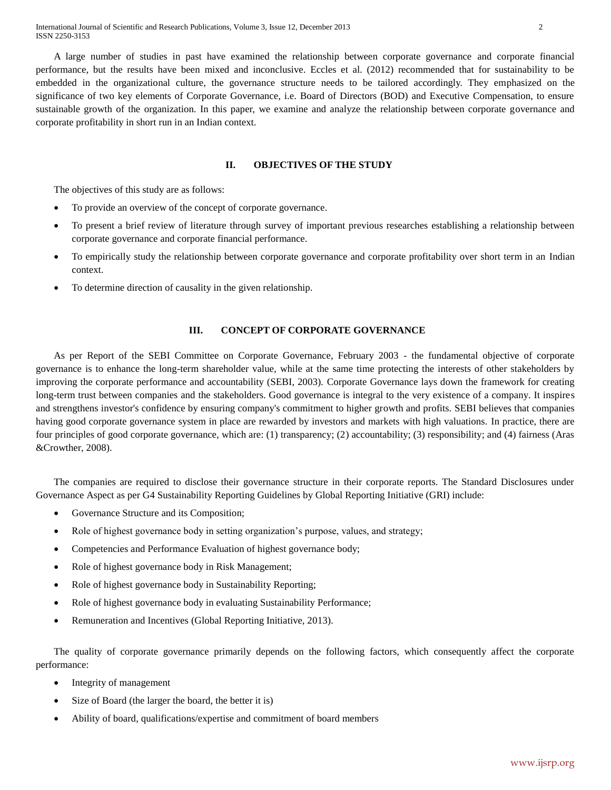A large number of studies in past have examined the relationship between corporate governance and corporate financial performance, but the results have been mixed and inconclusive. Eccles et al. (2012) recommended that for sustainability to be embedded in the organizational culture, the governance structure needs to be tailored accordingly. They emphasized on the significance of two key elements of Corporate Governance, i.e. Board of Directors (BOD) and Executive Compensation, to ensure sustainable growth of the organization. In this paper, we examine and analyze the relationship between corporate governance and corporate profitability in short run in an Indian context.

# **II. OBJECTIVES OF THE STUDY**

The objectives of this study are as follows:

- To provide an overview of the concept of corporate governance.
- To present a brief review of literature through survey of important previous researches establishing a relationship between corporate governance and corporate financial performance.
- To empirically study the relationship between corporate governance and corporate profitability over short term in an Indian context.
- To determine direction of causality in the given relationship.

# **III. CONCEPT OF CORPORATE GOVERNANCE**

As per Report of the SEBI Committee on Corporate Governance, February 2003 - the fundamental objective of corporate governance is to enhance the long-term shareholder value, while at the same time protecting the interests of other stakeholders by improving the corporate performance and accountability (SEBI, 2003). Corporate Governance lays down the framework for creating long-term trust between companies and the stakeholders. Good governance is integral to the very existence of a company. It inspires and strengthens investor's confidence by ensuring company's commitment to higher growth and profits. SEBI believes that companies having good corporate governance system in place are rewarded by investors and markets with high valuations. In practice, there are four principles of good corporate governance, which are: (1) transparency; (2) accountability; (3) responsibility; and (4) fairness (Aras &Crowther, 2008).

The companies are required to disclose their governance structure in their corporate reports. The Standard Disclosures under Governance Aspect as per G4 Sustainability Reporting Guidelines by Global Reporting Initiative (GRI) include:

- Governance Structure and its Composition;
- Role of highest governance body in setting organization's purpose, values, and strategy;
- Competencies and Performance Evaluation of highest governance body;
- Role of highest governance body in Risk Management;
- Role of highest governance body in Sustainability Reporting;
- Role of highest governance body in evaluating Sustainability Performance;
- Remuneration and Incentives (Global Reporting Initiative, 2013).

The quality of corporate governance primarily depends on the following factors, which consequently affect the corporate performance:

- Integrity of management
- Size of Board (the larger the board, the better it is)
- Ability of board, qualifications/expertise and commitment of board members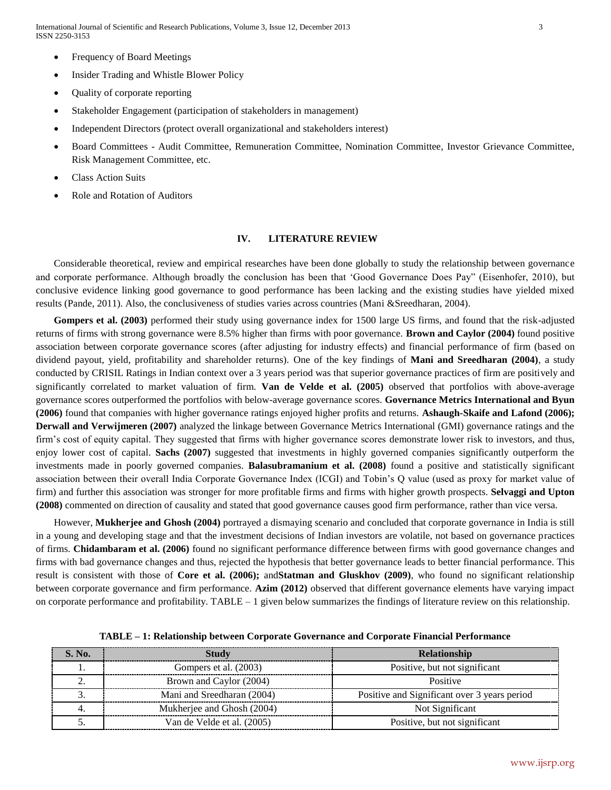- Frequency of Board Meetings
- Insider Trading and Whistle Blower Policy
- Quality of corporate reporting
- Stakeholder Engagement (participation of stakeholders in management)
- Independent Directors (protect overall organizational and stakeholders interest)
- Board Committees Audit Committee, Remuneration Committee, Nomination Committee, Investor Grievance Committee, Risk Management Committee, etc.
- Class Action Suits
- Role and Rotation of Auditors

## **IV. LITERATURE REVIEW**

Considerable theoretical, review and empirical researches have been done globally to study the relationship between governance and corporate performance. Although broadly the conclusion has been that 'Good Governance Does Pay" (Eisenhofer, 2010), but conclusive evidence linking good governance to good performance has been lacking and the existing studies have yielded mixed results (Pande, 2011). Also, the conclusiveness of studies varies across countries (Mani &Sreedharan, 2004).

**Gompers et al. (2003)** performed their study using governance index for 1500 large US firms, and found that the risk-adjusted returns of firms with strong governance were 8.5% higher than firms with poor governance. **Brown and Caylor (2004)** found positive association between corporate governance scores (after adjusting for industry effects) and financial performance of firm (based on dividend payout, yield, profitability and shareholder returns). One of the key findings of **Mani and Sreedharan (2004)**, a study conducted by CRISIL Ratings in Indian context over a 3 years period was that superior governance practices of firm are positively and significantly correlated to market valuation of firm. **Van de Velde et al. (2005)** observed that portfolios with above-average governance scores outperformed the portfolios with below-average governance scores. **Governance Metrics International and Byun (2006)** found that companies with higher governance ratings enjoyed higher profits and returns. **Ashaugh-Skaife and Lafond (2006); Derwall and Verwijmeren (2007)** analyzed the linkage between Governance Metrics International (GMI) governance ratings and the firm's cost of equity capital. They suggested that firms with higher governance scores demonstrate lower risk to investors, and thus, enjoy lower cost of capital. **Sachs (2007)** suggested that investments in highly governed companies significantly outperform the investments made in poorly governed companies. **Balasubramanium et al. (2008)** found a positive and statistically significant association between their overall India Corporate Governance Index (ICGI) and Tobin's Q value (used as proxy for market value of firm) and further this association was stronger for more profitable firms and firms with higher growth prospects. **Selvaggi and Upton (2008)** commented on direction of causality and stated that good governance causes good firm performance, rather than vice versa.

However, **Mukherjee and Ghosh (2004)** portrayed a dismaying scenario and concluded that corporate governance in India is still in a young and developing stage and that the investment decisions of Indian investors are volatile, not based on governance practices of firms. **Chidambaram et al. (2006)** found no significant performance difference between firms with good governance changes and firms with bad governance changes and thus, rejected the hypothesis that better governance leads to better financial performance. This result is consistent with those of **Core et al. (2006);** and**Statman and Gluskhov (2009)**, who found no significant relationship between corporate governance and firm performance. **Azim (2012)** observed that different governance elements have varying impact on corporate performance and profitability. TABLE – 1 given below summarizes the findings of literature review on this relationship.

| <b>S. No.</b> | <b>Study</b>               | <b>Relationship</b>                          |
|---------------|----------------------------|----------------------------------------------|
|               | Gompers et al. (2003)      | Positive, but not significant                |
|               | Brown and Caylor (2004)    | Positive                                     |
|               | Mani and Sreedharan (2004) | Positive and Significant over 3 years period |
|               | Mukherjee and Ghosh (2004) | Not Significant                              |
|               | Van de Velde et al. (2005) | Positive, but not significant                |

**TABLE – 1: Relationship between Corporate Governance and Corporate Financial Performance**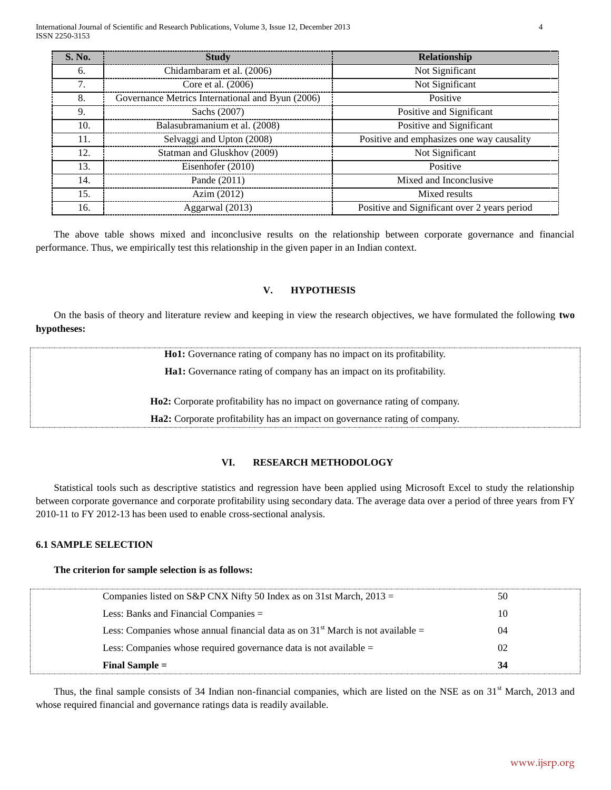| <b>S. No.</b> | <b>Study</b>                                     | Relationship                                 |
|---------------|--------------------------------------------------|----------------------------------------------|
| 6.            | Chidambaram et al. (2006)                        | Not Significant                              |
| 7.            | Core et al. (2006)                               | Not Significant                              |
| 8.            | Governance Metrics International and Byun (2006) | Positive                                     |
| 9.            | Sachs (2007)                                     | Positive and Significant                     |
| 10.           | Balasubramanium et al. (2008)                    | Positive and Significant                     |
| 11.           | Selvaggi and Upton (2008)                        | Positive and emphasizes one way causality    |
| 12.           | Statman and Gluskhov (2009)                      | Not Significant                              |
| 13.           | Eisenhofer (2010)                                | Positive                                     |
| 14.           | Pande (2011)                                     | Mixed and Inconclusive                       |
| 15.           | Azim $(2012)$                                    | Mixed results                                |
| 16.           | Aggarwal (2013)                                  | Positive and Significant over 2 years period |

The above table shows mixed and inconclusive results on the relationship between corporate governance and financial performance. Thus, we empirically test this relationship in the given paper in an Indian context.

## **V. HYPOTHESIS**

On the basis of theory and literature review and keeping in view the research objectives, we have formulated the following **two hypotheses:**

| <b>Hol:</b> Governance rating of company has no impact on its profitability. |
|------------------------------------------------------------------------------|
| Ha1: Governance rating of company has an impact on its profitability.        |
|                                                                              |
| Ho2: Corporate profitability has no impact on governance rating of company.  |
| Ha2: Corporate profitability has an impact on governance rating of company.  |
|                                                                              |

# **VI. RESEARCH METHODOLOGY**

Statistical tools such as descriptive statistics and regression have been applied using Microsoft Excel to study the relationship between corporate governance and corporate profitability using secondary data. The average data over a period of three years from FY 2010-11 to FY 2012-13 has been used to enable cross-sectional analysis.

# **6.1 SAMPLE SELECTION**

# **The criterion for sample selection is as follows:**

| Final Sample $=$                                                                  | 34 |
|-----------------------------------------------------------------------------------|----|
| Less: Companies whose required governance data is not available $=$               | 02 |
| Less: Companies whose annual financial data as on $31st$ March is not available = | 04 |
| Less: Banks and Financial Companies $=$                                           | 10 |
| Companies listed on S&P CNX Nifty 50 Index as on 31st March, $2013 =$             | 50 |
|                                                                                   |    |

Thus, the final sample consists of 34 Indian non-financial companies, which are listed on the NSE as on 31<sup>st</sup> March, 2013 and whose required financial and governance ratings data is readily available.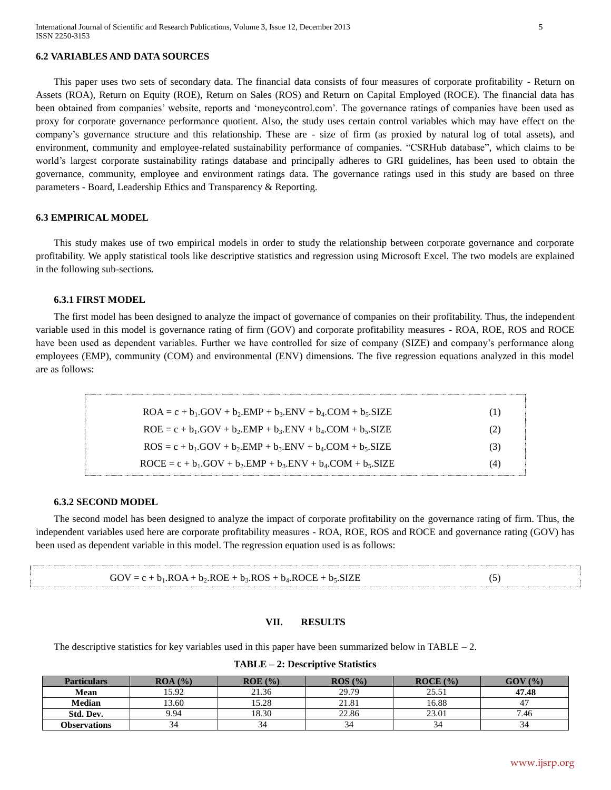## **6.2 VARIABLES AND DATA SOURCES**

This paper uses two sets of secondary data. The financial data consists of four measures of corporate profitability - Return on Assets (ROA), Return on Equity (ROE), Return on Sales (ROS) and Return on Capital Employed (ROCE). The financial data has been obtained from companies' website, reports and 'moneycontrol.com'. The governance ratings of companies have been used as proxy for corporate governance performance quotient. Also, the study uses certain control variables which may have effect on the company's governance structure and this relationship. These are - size of firm (as proxied by natural log of total assets), and environment, community and employee-related sustainability performance of companies. "CSRHub database", which claims to be world's largest corporate sustainability ratings database and principally adheres to GRI guidelines, has been used to obtain the governance, community, employee and environment ratings data. The governance ratings used in this study are based on three parameters - Board, Leadership Ethics and Transparency & Reporting.

## **6.3 EMPIRICAL MODEL**

This study makes use of two empirical models in order to study the relationship between corporate governance and corporate profitability. We apply statistical tools like descriptive statistics and regression using Microsoft Excel. The two models are explained in the following sub-sections.

#### **6.3.1 FIRST MODEL**

The first model has been designed to analyze the impact of governance of companies on their profitability. Thus, the independent variable used in this model is governance rating of firm (GOV) and corporate profitability measures - ROA, ROE, ROS and ROCE have been used as dependent variables. Further we have controlled for size of company (SIZE) and company's performance along employees (EMP), community (COM) and environmental (ENV) dimensions. The five regression equations analyzed in this model are as follows:

| $ROA = c + b1$ .GOV + b <sub>2</sub> .EMP + b <sub>3</sub> .ENV + b <sub>4</sub> .COM + b <sub>5</sub> .SIZE | (1) |
|--------------------------------------------------------------------------------------------------------------|-----|
| $ROE = c + b1$ .GOV + $b2$ .EMP + $b3$ .ENV + $b4$ .COM + $b5$ .SIZE                                         | (2) |
| $ROS = c + b1$ .GOV + b <sub>2</sub> .EMP + b <sub>3</sub> .ENV + b <sub>4</sub> .COM + b <sub>5</sub> .SIZE | (3) |
| $ROCE = c + b1$ .GOV + $b2$ .EMP + $b3$ .ENV + $b4$ .COM + $b5$ .SIZE                                        | (4) |

## **6.3.2 SECOND MODEL**

The second model has been designed to analyze the impact of corporate profitability on the governance rating of firm. Thus, the independent variables used here are corporate profitability measures - ROA, ROE, ROS and ROCE and governance rating (GOV) has been used as dependent variable in this model. The regression equation used is as follows:

| $GOV = c + b_1 .ROA + b_2 .ROE + b_3 .ROS + b_4 . ROCE + b_5 . SIZE$ |  |
|----------------------------------------------------------------------|--|

#### **VII. RESULTS**

The descriptive statistics for key variables used in this paper have been summarized below in TABLE  $-2$ .

**TABLE – 2: Descriptive Statistics**

| <b>Particulars</b>  | ROA (%) | $ROE($ %) | ROS(%) | ROCE(%) | GOV(%) |
|---------------------|---------|-----------|--------|---------|--------|
| Mean                | 15.92   | 21.36     | 29.79  | 25.51   | 47.48  |
| <b>Median</b>       | 3.60    | 15.28     | 21.81  | 16.88   |        |
| Std. Dev.           | 9.94    | 18.30     | 22.86  | 23.01   | 7.46   |
| <b>Observations</b> | 34      | 34        |        | 34      | 34     |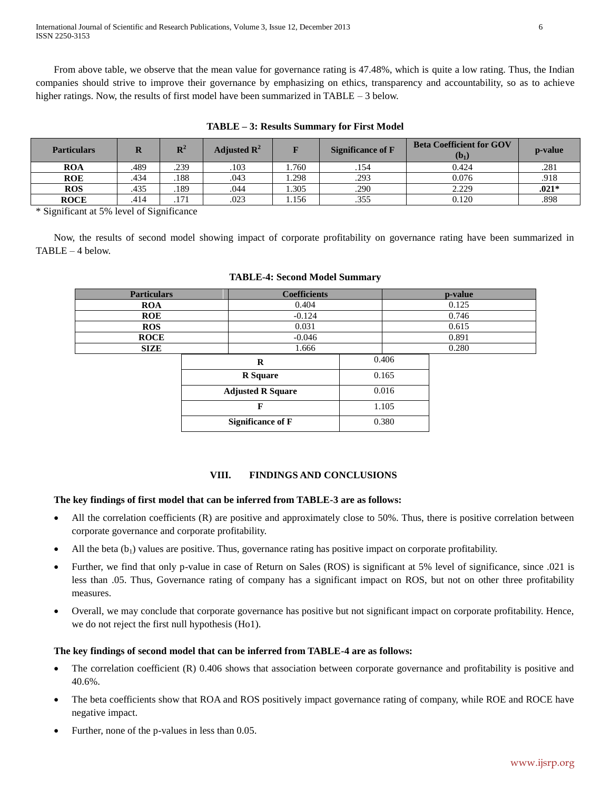From above table, we observe that the mean value for governance rating is 47.48%, which is quite a low rating. Thus, the Indian companies should strive to improve their governance by emphasizing on ethics, transparency and accountability, so as to achieve higher ratings. Now, the results of first model have been summarized in TABLE – 3 below.

| <b>Particulars</b> |      | $\mathbf{R}^2$ | Adjusted $\mathbb{R}^2$ | ъ     | <b>Significance of F</b> | <b>Beta Coefficient for GOV</b><br>$(b_1)$ | <b>p</b> -value |
|--------------------|------|----------------|-------------------------|-------|--------------------------|--------------------------------------------|-----------------|
| <b>ROA</b>         | .489 | .239           | .103                    | . 760 | .154                     | 0.424                                      | .281            |
| <b>ROE</b>         | .434 | .188           | .043                    | 1.298 | .293                     | 0.076                                      | .918            |
| <b>ROS</b>         | .435 | .189           | .044                    | .305  | .290                     | 2.229                                      | $.021*$         |
| <b>ROCE</b>        | .414 | .171           | .023                    | 1.156 | .355                     | 0.120                                      | .898            |

**TABLE – 3: Results Summary for First Model**

\* Significant at 5% level of Significance

Now, the results of second model showing impact of corporate profitability on governance rating have been summarized in TABLE – 4 below.

| <b>Particulars</b> | <b>Coefficients</b> | p-value |
|--------------------|---------------------|---------|
| <b>ROA</b>         | 0.404               | 0.125   |
| <b>ROE</b>         | $-0.124$            | 0.746   |
| <b>ROS</b>         | 0.031               | 0.615   |
| <b>ROCE</b>        | $-0.046$            | 0.891   |
| <b>SIZE</b>        | .666                | 0.280   |

|                          | 1.000 |
|--------------------------|-------|
| R                        | 0.406 |
| <b>R</b> Square          | 0.165 |
| <b>Adjusted R Square</b> | 0.016 |
|                          | 1.105 |
| <b>Significance of F</b> | 0.380 |

# **VIII. FINDINGS AND CONCLUSIONS**

## **The key findings of first model that can be inferred from TABLE-3 are as follows:**

- All the correlation coefficients (R) are positive and approximately close to 50%. Thus, there is positive correlation between corporate governance and corporate profitability.
- All the beta  $(b_1)$  values are positive. Thus, governance rating has positive impact on corporate profitability.
- Further, we find that only p-value in case of Return on Sales (ROS) is significant at 5% level of significance, since .021 is less than .05. Thus, Governance rating of company has a significant impact on ROS, but not on other three profitability measures.
- Overall, we may conclude that corporate governance has positive but not significant impact on corporate profitability. Hence, we do not reject the first null hypothesis (Ho1).

# **The key findings of second model that can be inferred from TABLE-4 are as follows:**

- The correlation coefficient (R) 0.406 shows that association between corporate governance and profitability is positive and 40.6%.
- The beta coefficients show that ROA and ROS positively impact governance rating of company, while ROE and ROCE have negative impact.
- Further, none of the p-values in less than 0.05.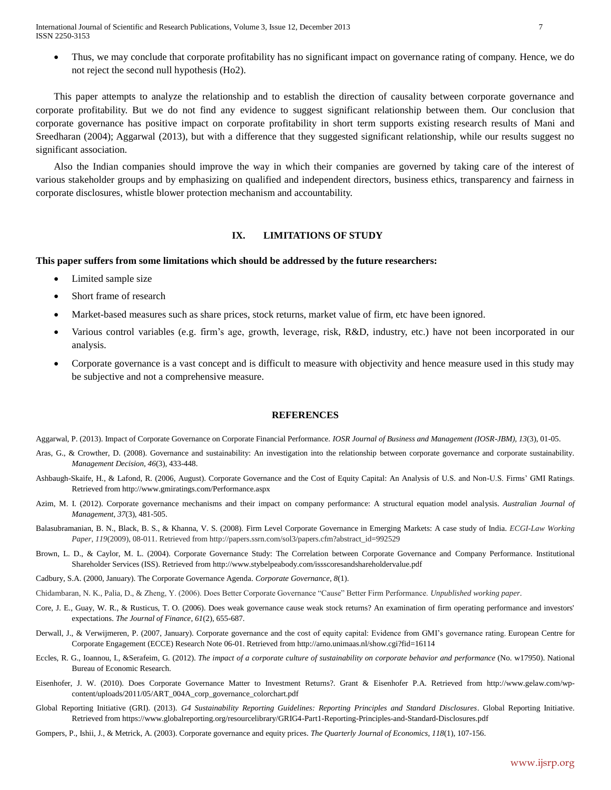International Journal of Scientific and Research Publications, Volume 3, Issue 12, December 2013 7 ISSN 2250-3153

 Thus, we may conclude that corporate profitability has no significant impact on governance rating of company. Hence, we do not reject the second null hypothesis (Ho2).

This paper attempts to analyze the relationship and to establish the direction of causality between corporate governance and corporate profitability. But we do not find any evidence to suggest significant relationship between them. Our conclusion that corporate governance has positive impact on corporate profitability in short term supports existing research results of Mani and Sreedharan (2004); Aggarwal (2013), but with a difference that they suggested significant relationship, while our results suggest no significant association.

Also the Indian companies should improve the way in which their companies are governed by taking care of the interest of various stakeholder groups and by emphasizing on qualified and independent directors, business ethics, transparency and fairness in corporate disclosures, whistle blower protection mechanism and accountability.

## **IX. LIMITATIONS OF STUDY**

## **This paper suffers from some limitations which should be addressed by the future researchers:**

- Limited sample size
- Short frame of research
- Market-based measures such as share prices, stock returns, market value of firm, etc have been ignored.
- Various control variables (e.g. firm's age, growth, leverage, risk, R&D, industry, etc.) have not been incorporated in our analysis.
- Corporate governance is a vast concept and is difficult to measure with objectivity and hence measure used in this study may be subjective and not a comprehensive measure.

## **REFERENCES**

Aggarwal, P. (2013). Impact of Corporate Governance on Corporate Financial Performance. *IOSR Journal of Business and Management (IOSR-JBM), 13*(3), 01-05.

- Aras, G., & Crowther, D. (2008). Governance and sustainability: An investigation into the relationship between corporate governance and corporate sustainability. *Management Decision, 46*(3), 433-448.
- Ashbaugh-Skaife, H., & Lafond, R. (2006, August). Corporate Governance and the Cost of Equity Capital: An Analysis of U.S. and Non-U.S. Firms' GMI Ratings. Retrieved from http://www.gmiratings.com/Performance.aspx
- Azim, M. I. (2012). Corporate governance mechanisms and their impact on company performance: A structural equation model analysis. *Australian Journal of Management*, *37*(3), 481-505.
- Balasubramanian, B. N., Black, B. S., & Khanna, V. S. (2008). Firm Level Corporate Governance in Emerging Markets: A case study of India. *ECGI-Law Working Paper*, *119*(2009), 08-011. Retrieved from http://papers.ssrn.com/sol3/papers.cfm?abstract\_id=992529
- Brown, L. D., & Caylor, M. L. (2004). Corporate Governance Study: The Correlation between Corporate Governance and Company Performance. Institutional Shareholder Services (ISS). Retrieved from http://www.stybelpeabody.com/issscoresandshareholdervalue.pdf
- Cadbury, S.A. (2000, January). The Corporate Governance Agenda. *Corporate Governance, 8*(1).

Chidambaran, N. K., Palia, D., & Zheng, Y. (2006). Does Better Corporate Governance "Cause" Better Firm Performance. *Unpublished working paper*.

- Core, J. E., Guay, W. R., & Rusticus, T. O. (2006). Does weak governance cause weak stock returns? An examination of firm operating performance and investors' expectations. *The Journal of Finance*, *61*(2), 655-687.
- Derwall, J., & Verwijmeren, P. (2007, January). Corporate governance and the cost of equity capital: Evidence from GMI's governance rating. European Centre for Corporate Engagement (ECCE) Research Note 06-01. Retrieved from http://arno.unimaas.nl/show.cgi?fid=16114
- Eccles, R. G., Ioannou, I., &Serafeim, G. (2012). *The impact of a corporate culture of sustainability on corporate behavior and performance* (No. w17950). National Bureau of Economic Research.
- Eisenhofer, J. W. (2010). Does Corporate Governance Matter to Investment Returns?. Grant & Eisenhofer P.A. Retrieved from http://www.gelaw.com/wpcontent/uploads/2011/05/ART\_004A\_corp\_governance\_colorchart.pdf
- Global Reporting Initiative (GRI). (2013). *G4 Sustainability Reporting Guidelines: Reporting Principles and Standard Disclosures*. Global Reporting Initiative. Retrieved from https://www.globalreporting.org/resourcelibrary/GRIG4-Part1-Reporting-Principles-and-Standard-Disclosures.pdf
- Gompers, P., Ishii, J., & Metrick, A. (2003). Corporate governance and equity prices. *The Quarterly Journal of Economics*, *118*(1), 107-156.